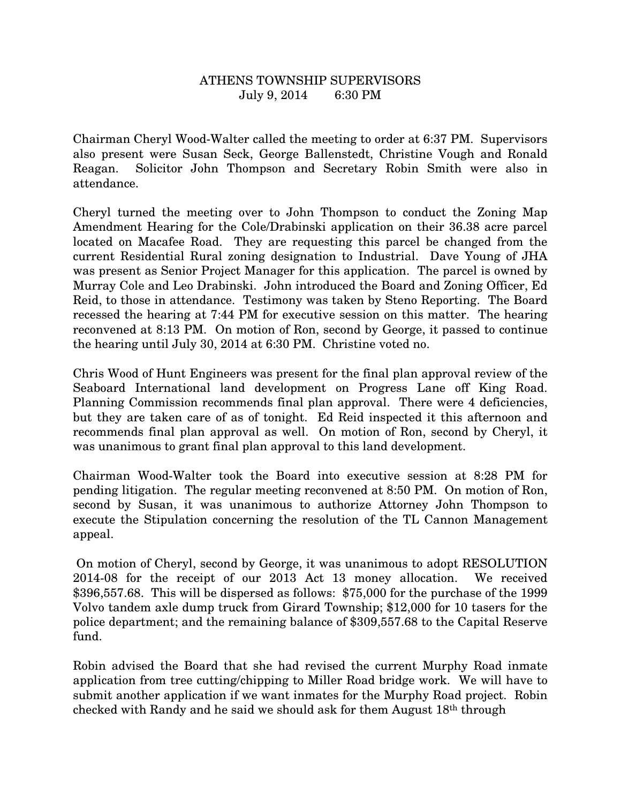## ATHENS TOWNSHIP SUPERVISORS July 9, 2014 6:30 PM

Chairman Cheryl Wood-Walter called the meeting to order at 6:37 PM. Supervisors also present were Susan Seck, George Ballenstedt, Christine Vough and Ronald Reagan. Solicitor John Thompson and Secretary Robin Smith were also in attendance.

Cheryl turned the meeting over to John Thompson to conduct the Zoning Map Amendment Hearing for the Cole/Drabinski application on their 36.38 acre parcel located on Macafee Road. They are requesting this parcel be changed from the current Residential Rural zoning designation to Industrial. Dave Young of JHA was present as Senior Project Manager for this application. The parcel is owned by Murray Cole and Leo Drabinski. John introduced the Board and Zoning Officer, Ed Reid, to those in attendance. Testimony was taken by Steno Reporting. The Board recessed the hearing at 7:44 PM for executive session on this matter. The hearing reconvened at 8:13 PM. On motion of Ron, second by George, it passed to continue the hearing until July 30, 2014 at 6:30 PM. Christine voted no.

Chris Wood of Hunt Engineers was present for the final plan approval review of the Seaboard International land development on Progress Lane off King Road. Planning Commission recommends final plan approval. There were 4 deficiencies, but they are taken care of as of tonight. Ed Reid inspected it this afternoon and recommends final plan approval as well. On motion of Ron, second by Cheryl, it was unanimous to grant final plan approval to this land development.

Chairman Wood-Walter took the Board into executive session at 8:28 PM for pending litigation. The regular meeting reconvened at 8:50 PM. On motion of Ron, second by Susan, it was unanimous to authorize Attorney John Thompson to execute the Stipulation concerning the resolution of the TL Cannon Management appeal.

 On motion of Cheryl, second by George, it was unanimous to adopt RESOLUTION 2014-08 for the receipt of our 2013 Act 13 money allocation. We received \$396,557.68. This will be dispersed as follows: \$75,000 for the purchase of the 1999 Volvo tandem axle dump truck from Girard Township; \$12,000 for 10 tasers for the police department; and the remaining balance of \$309,557.68 to the Capital Reserve fund.

Robin advised the Board that she had revised the current Murphy Road inmate application from tree cutting/chipping to Miller Road bridge work. We will have to submit another application if we want inmates for the Murphy Road project. Robin checked with Randy and he said we should ask for them August 18th through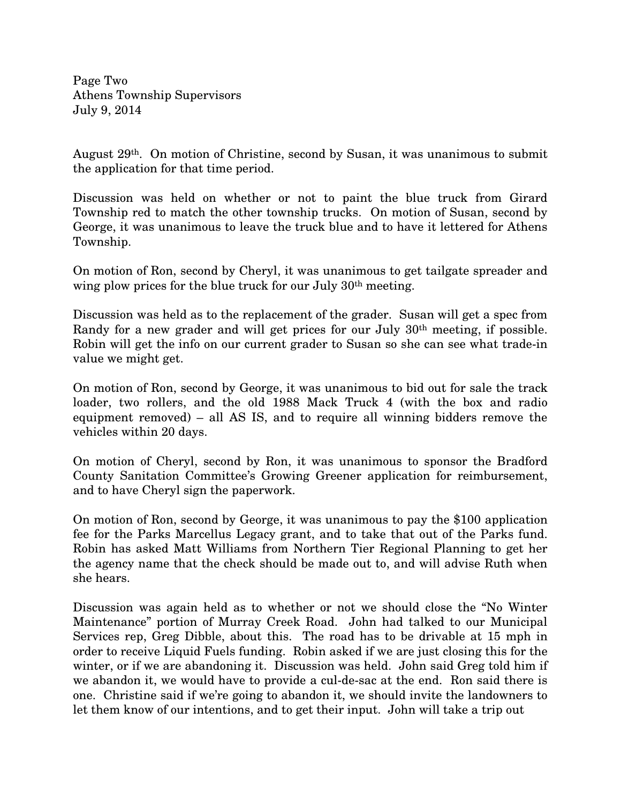Page Two Athens Township Supervisors July 9, 2014

August 29th. On motion of Christine, second by Susan, it was unanimous to submit the application for that time period.

Discussion was held on whether or not to paint the blue truck from Girard Township red to match the other township trucks. On motion of Susan, second by George, it was unanimous to leave the truck blue and to have it lettered for Athens Township.

On motion of Ron, second by Cheryl, it was unanimous to get tailgate spreader and wing plow prices for the blue truck for our July 30<sup>th</sup> meeting.

Discussion was held as to the replacement of the grader. Susan will get a spec from Randy for a new grader and will get prices for our July 30th meeting, if possible. Robin will get the info on our current grader to Susan so she can see what trade-in value we might get.

On motion of Ron, second by George, it was unanimous to bid out for sale the track loader, two rollers, and the old 1988 Mack Truck 4 (with the box and radio equipment removed) – all AS IS, and to require all winning bidders remove the vehicles within 20 days.

On motion of Cheryl, second by Ron, it was unanimous to sponsor the Bradford County Sanitation Committee's Growing Greener application for reimbursement, and to have Cheryl sign the paperwork.

On motion of Ron, second by George, it was unanimous to pay the \$100 application fee for the Parks Marcellus Legacy grant, and to take that out of the Parks fund. Robin has asked Matt Williams from Northern Tier Regional Planning to get her the agency name that the check should be made out to, and will advise Ruth when she hears.

Discussion was again held as to whether or not we should close the "No Winter Maintenance" portion of Murray Creek Road. John had talked to our Municipal Services rep, Greg Dibble, about this. The road has to be drivable at 15 mph in order to receive Liquid Fuels funding. Robin asked if we are just closing this for the winter, or if we are abandoning it. Discussion was held. John said Greg told him if we abandon it, we would have to provide a cul-de-sac at the end. Ron said there is one. Christine said if we're going to abandon it, we should invite the landowners to let them know of our intentions, and to get their input. John will take a trip out